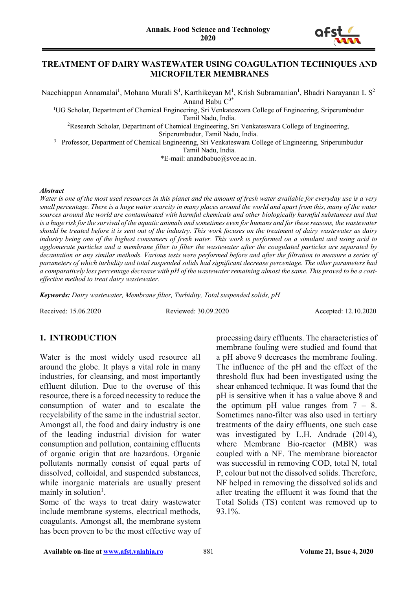

#### **TREATMENT OF DAIRY WASTEWATER USING COAGULATION TECHNIQUES AND MICROFILTER MEMBRANES**

Nacchiappan Annamalai<sup>1</sup>, Mohana Murali S<sup>1</sup>, Karthikeyan M<sup>1</sup>, Krish Subramanian<sup>1</sup>, Bhadri Narayanan L S<sup>2</sup> Anand Babu C<sup>3\*</sup>

<sup>1</sup>UG Scholar, Department of Chemical Engineering, Sri Venkateswara College of Engineering, Sriperumbudur

Tamil Nadu, India.

<sup>2</sup>Research Scholar, Department of Chemical Engineering, Sri Venkateswara College of Engineering, Sriperumbudur, Tamil Nadu, India.

<sup>3</sup> Professor, Department of Chemical Engineering, Sri Venkateswara College of Engineering, Sriperumbudur Tamil Nadu, India.

\*E-mail: anandbabuc@svce.ac.in.

#### *Abstract*

*Water is one of the most used resources in this planet and the amount of fresh water available for everyday use is a very small percentage. There is a huge water scarcity in many places around the world and apart from this, many of the water sources around the world are contaminated with harmful chemicals and other biologically harmful substances and that is a huge risk for the survival of the aquatic animals and sometimes even for humans and for these reasons, the wastewater should be treated before it is sent out of the industry. This work focuses on the treatment of dairy wastewater as dairy industry being one of the highest consumers of fresh water. This work is performed on a simulant and using acid to agglomerate particles and a membrane filter to filter the wastewater after the coagulated particles are separated by decantation or any similar methods. Various tests were performed before and after the filtration to measure a series of parameters of which turbidity and total suspended solids had significant decrease percentage. The other parameters had a comparatively less percentage decrease with pH of the wastewater remaining almost the same. This proved to be a costeffective method to treat dairy wastewater.*

*Keywords: Dairy wastewater, Membrane filter, Turbidity, Total suspended solids, pH*

Received: 15.06.2020 Reviewed: 30.09.2020 Accepted: 12.10.2020

## **1. INTRODUCTION**

Water is the most widely used resource all around the globe. It plays a vital role in many industries, for cleansing, and most importantly effluent dilution. Due to the overuse of this resource, there is a forced necessity to reduce the consumption of water and to escalate the recyclability of the same in the industrial sector. Amongst all, the food and dairy industry is one of the leading industrial division for water consumption and pollution, containing effluents of organic origin that are hazardous. Organic pollutants normally consist of equal parts of dissolved, colloidal, and suspended substances, while inorganic materials are usually present mainly in solution<sup>1</sup>.

Some of the ways to treat dairy wastewater include membrane systems, electrical methods, coagulants. Amongst all, the membrane system has been proven to be the most effective way of

processing dairy effluents. The characteristics of membrane fouling were studied and found that a pH above 9 decreases the membrane fouling. The influence of the pH and the effect of the threshold flux had been investigated using the shear enhanced technique. It was found that the pH is sensitive when it has a value above 8 and the optimum pH value ranges from  $7 - 8$ . Sometimes nano-filter was also used in tertiary treatments of the dairy effluents, one such case was investigated by L.H. Andrade (2014), where Membrane Bio-reactor (MBR) was coupled with a NF. The membrane bioreactor was successful in removing COD, total N, total P, colour but not the dissolved solids. Therefore, NF helped in removing the dissolved solids and after treating the effluent it was found that the Total Solids (TS) content was removed up to 93.1%.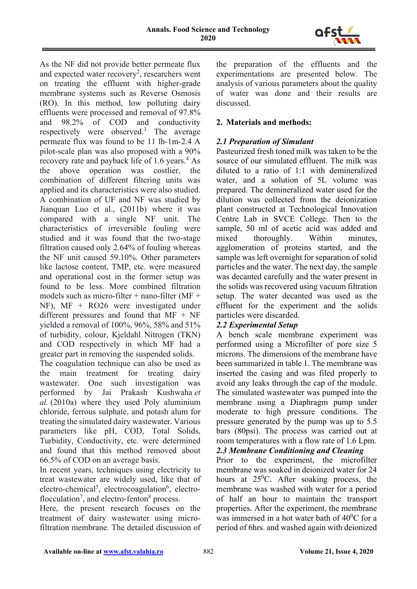

As the NF did not provide better permeate flux and expected water recovery<sup>2</sup>, researchers went on treating the effluent with higher-grade membrane systems such as Reverse Osmosis (RO). In this method, low polluting dairy effluents were processed and removal of 97.8% and 98.2% of COD and conductivity respectively were observed.<sup>3</sup> The average permeate flux was found to be 11 lh-1m-2.4 A pilot-scale plan was also proposed with a 90% recovery rate and payback life of 1.6 years.<sup>4</sup> As the above operation was costlier, the combination of different filtering units was applied and its characteristics were also studied. A combination of UF and NF was studied by Jianquan Luo et al., (2011b) where it was compared with a single NF unit. The characteristics of irreversible fouling were studied and it was found that the two-stage filtration caused only 2.64% of fouling whereas the NF unit caused 59.10%. Other parameters like lactose content, TMP, etc. were measured and operational cost in the former setup was found to be less. More combined filtration models such as micro-filter + nano-filter ( $MF +$ NF), MF + RO26 were investigated under different pressures and found that MF + NF yielded a removal of 100%, 96%, 58% and 51% of turbidity, colour, Kjeldahl Nitrogen (TKN) and COD respectively in which MF had a greater part in removing the suspended solids.

The coagulation technique can also be used as the main treatment for treating dairy wastewater. One such investigation was performed by Jai Prakash Kushwaha *et al.* (2010a) where they used Poly aluminium chloride, ferrous sulphate, and potash alum for treating the simulated dairy wastewater. Various parameters like pH, COD, Total Solids, Turbidity, Conductivity, etc. were determined and found that this method removed about 66.5% of COD on an average basis.

In recent years, techniques using electricity to treat wastewater are widely used, like that of electro-chemical<sup>5</sup>, electrocoagulation<sup>6</sup>, electroflocculation<sup>7</sup>, and electro-fenton<sup>8</sup> process.

Here, the present research focuses on the treatment of dairy wastewater using microfiltration membrane. The detailed discussion of the preparation of the effluents and the experimentations are presented below. The analysis of various parameters about the quality of water was done and their results are discussed.

# **2. Materials and methods:**

# *2.1 Preparation of Simulant*

Pasteurized fresh toned milk was taken to be the source of our simulated effluent. The milk was diluted to a ratio of 1:1 with demineralized water, and a solution of 5L volume was prepared. The demineralized water used for the dilution was collected from the deionization plant constructed at Technological Innovation Centre Lab in SVCE College. Then to the sample, 50 ml of acetic acid was added and mixed thoroughly. Within minutes, agglomeration of proteins started, and the sample was left overnight for separation of solid particles and the water. The next day, the sample was decanted carefully and the water present in the solids was recovered using vacuum filtration setup. The water decanted was used as the effluent for the experiment and the solids particles were discarded.

## *2.2 Experimental Setup*

A bench scale membrane experiment was performed using a Microfilter of pore size 5 microns. The dimensions of the membrane have been summarized in table 1. The membrane was inserted the casing and was filed properly to avoid any leaks through the cap of the module. The simulated wastewater was pumped into the membrane using a Diaphragm pump under moderate to high pressure conditions. The pressure generated by the pump was up to 5.5 bars (80psi). The process was carried out at room temperatures with a flow rate of 1.6 Lpm. *2.3 Membrane Conditioning and Cleaning*

Prior to the experiment, the microfilter membrane was soaked in deionized water for 24 hours at  $25^{\circ}$ C. After soaking process, the membrane was washed with water for a period of half an hour to maintain the transport properties. After the experiment, the membrane was immersed in a hot water bath of  $40^0C$  for a period of 6hrs. and washed again with deionized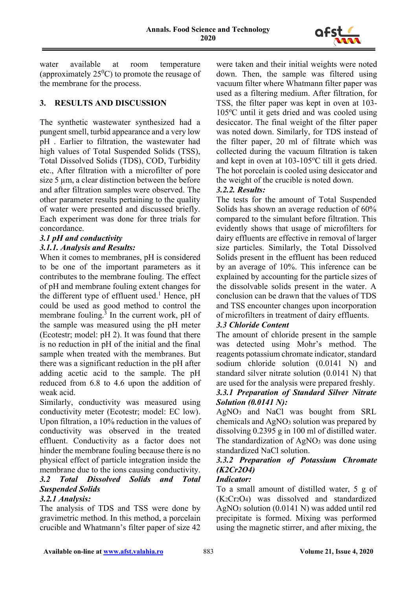

water available at room temperature (approximately  $25^0C$ ) to promote the reusage of the membrane for the process.

#### **3. RESULTS AND DISCUSSION**

The synthetic wastewater synthesized had a pungent smell, turbid appearance and a very low pH . Earlier to filtration, the wastewater had high values of Total Suspended Solids (TSS), Total Dissolved Solids (TDS), COD, Turbidity etc., After filtration with a microfilter of pore size 5 µm, a clear distinction between the before and after filtration samples were observed. The other parameter results pertaining to the quality of water were presented and discussed briefly. Each experiment was done for three trials for concordance.

### *3.1 pH and conductivity*

### *3.1.1. Analysis and Results:*

When it comes to membranes, pH is considered to be one of the important parameters as it contributes to the membrane fouling. The effect of pH and membrane fouling extent changes for the different type of effluent used.<sup>1</sup> Hence,  $pH$ could be used as good method to control the membrane fouling.<sup>3</sup> In the current work, pH of the sample was measured using the pH meter (Ecotestr; model: pH 2). It was found that there is no reduction in pH of the initial and the final sample when treated with the membranes. But there was a significant reduction in the pH after adding acetic acid to the sample. The pH reduced from 6.8 to 4.6 upon the addition of weak acid.

Similarly, conductivity was measured using conductivity meter (Ecotestr; model: EC low). Upon filtration, a 10% reduction in the values of conductivity was observed in the treated effluent. Conductivity as a factor does not hinder the membrane fouling because there is no physical effect of particle integration inside the membrane due to the ions causing conductivity.

# *3.2 Total Dissolved Solids and Total Suspended Solids*

#### *3.2.1 Analysis:*

The analysis of TDS and TSS were done by gravimetric method. In this method, a porcelain crucible and Whatmann's filter paper of size 42 were taken and their initial weights were noted down. Then, the sample was filtered using vacuum filter where Whatmann filter paper was used as a filtering medium. After filtration, for TSS, the filter paper was kept in oven at 103- 105°C until it gets dried and was cooled using desiccator. The final weight of the filter paper was noted down. Similarly, for TDS instead of the filter paper, 20 ml of filtrate which was collected during the vacuum filtration is taken and kept in oven at 103-105°C till it gets dried. The hot porcelain is cooled using desiccator and the weight of the crucible is noted down.

#### *3.2.2. Results:*

The tests for the amount of Total Suspended Solids has shown an average reduction of 60% compared to the simulant before filtration. This evidently shows that usage of microfilters for dairy effluents are effective in removal of larger size particles. Similarly, the Total Dissolved Solids present in the effluent has been reduced by an average of 10%. This inference can be explained by accounting for the particle sizes of the dissolvable solids present in the water. A conclusion can be drawn that the values of TDS and TSS encounter changes upon incorporation of microfilters in treatment of dairy effluents.

#### *3.3 Chloride Content*

The amount of chloride present in the sample was detected using Mohr's method. The reagents potassium chromate indicator, standard sodium chloride solution (0.0141 N) and standard silver nitrate solution (0.0141 N) that are used for the analysis were prepared freshly.

### *3.3.1 Preparation of Standard Silver Nitrate Solution (0.0141 N):*

AgNO3 and NaCl was bought from SRL chemicals and AgNO3 solution was prepared by dissolving 0.2395 g in 100 ml of distilled water. The standardization of  $AgNO<sub>3</sub>$  was done using standardized NaCl solution.

# *3.3.2 Preparation of Potassium Chromate (K2Cr2O4)*

### *Indicator:*

To a small amount of distilled water, 5 g of (K2Cr2O4) was dissolved and standardized AgNO3 solution (0.0141 N) was added until red precipitate is formed. Mixing was performed using the magnetic stirrer, and after mixing, the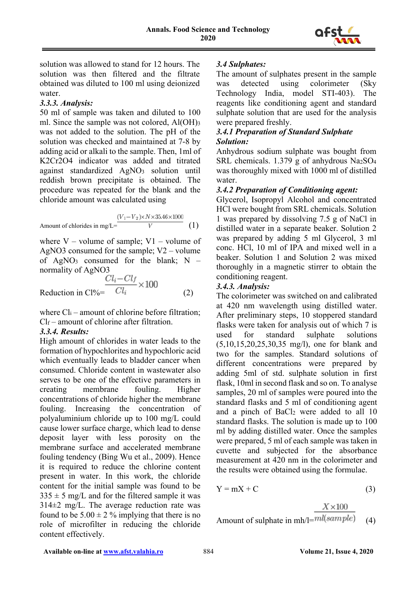

solution was allowed to stand for 12 hours. The solution was then filtered and the filtrate obtained was diluted to 100 ml using deionized water.

### *3.3.3. Analysis:*

50 ml of sample was taken and diluted to 100 ml. Since the sample was not colored, Al(OH)3 was not added to the solution. The pH of the solution was checked and maintained at 7-8 by adding acid or alkali to the sample. Then, 1ml of K2Cr2O4 indicator was added and titrated against standardized AgNO3 solution until reddish brown precipitate is obtained. The procedure was repeated for the blank and the chloride amount was calculated using

Amount of chlorides in mg/L=
$$
\frac{(V_1 - V_2) \times N \times 35.46 \times 1000}{V}
$$
 (1)

where  $V$  – volume of sample;  $V1$  – volume of AgNO3 consumed for the sample; V2 – volume of AgNO<sub>3</sub> consumed for the blank;  $N$ normality of AgNO3

$$
\frac{Cl_i - Cl_f}{Cl_i} \times 100
$$
\nReduction in Cl% =

\n
$$
\frac{Cl_i - Cl_f}{Cl_i} \times 100
$$
\n
$$
(2)
$$

where  $Cl_i$  – amount of chlorine before filtration:  $Cl_f$  – amount of chlorine after filtration.

## *3.3.4. Results:*

High amount of chlorides in water leads to the formation of hypochlorites and hypochloric acid which eventually leads to bladder cancer when consumed. Chloride content in wastewater also serves to be one of the effective parameters in creating membrane fouling. Higher concentrations of chloride higher the membrane fouling. Increasing the concentration of polyaluminium chloride up to 100 mg/L could cause lower surface charge, which lead to dense deposit layer with less porosity on the membrane surface and accelerated membrane fouling tendency (Bing Wu et al., 2009). Hence it is required to reduce the chlorine content present in water. In this work, the chloride content for the initial sample was found to be  $335 \pm 5$  mg/L and for the filtered sample it was  $314\pm2$  mg/L. The average reduction rate was found to be  $5.00 \pm 2\%$  implying that there is no role of microfilter in reducing the chloride content effectively.

# *3.4 Sulphates:*

The amount of sulphates present in the sample was detected using colorimeter (Sky Technology India, model STI-403). The reagents like conditioning agent and standard sulphate solution that are used for the analysis were prepared freshly.

# *3.4.1 Preparation of Standard Sulphate Solution:*

Anhydrous sodium sulphate was bought from SRL chemicals. 1.379 g of anhydrous Na2SO4 was thoroughly mixed with 1000 ml of distilled water.

# *3.4.2 Preparation of Conditioning agent:*

Glycerol, Isopropyl Alcohol and concentrated HCl were bought from SRL chemicals. Solution 1 was prepared by dissolving 7.5 g of NaCl in distilled water in a separate beaker. Solution 2 was prepared by adding 5 ml Glycerol, 3 ml conc. HCl, 10 ml of IPA and mixed well in a beaker. Solution 1 and Solution 2 was mixed thoroughly in a magnetic stirrer to obtain the conditioning reagent.

## *3.4.3. Analysis:*

The colorimeter was switched on and calibrated at 420 nm wavelength using distilled water. After preliminary steps, 10 stoppered standard flasks were taken for analysis out of which 7 is used for standard sulphate solutions (5,10,15,20,25,30,35 mg/l), one for blank and two for the samples. Standard solutions of different concentrations were prepared by adding 5ml of std. sulphate solution in first flask, 10ml in second flask and so on. To analyse samples, 20 ml of samples were poured into the standard flasks and 5 ml of conditioning agent and a pinch of BaCl2 were added to all 10 standard flasks. The solution is made up to 100 ml by adding distilled water. Once the samples were prepared, 5 ml of each sample was taken in cuvette and subjected for the absorbance measurement at 420 nm in the colorimeter and the results were obtained using the formulae.

$$
Y = mX + C \tag{3}
$$

Amount of sulphate in mh/l=
$$
\frac{X \times 100}{ml(sample)}
$$
 (4)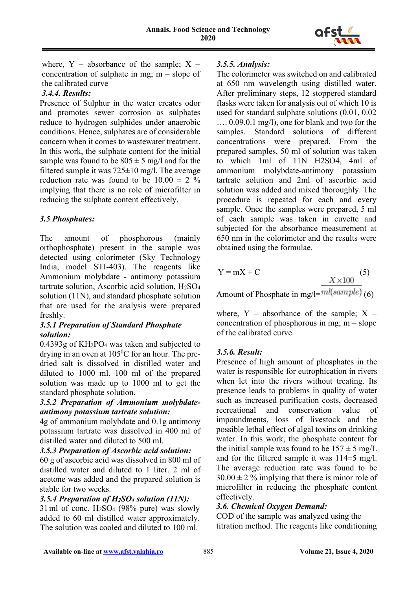

where,  $Y -$  absorbance of the sample;  $X$ concentration of sulphate in mg; m – slope of the calibrated curve

# *3.4.4. Results:*

Presence of Sulphur in the water creates odor and promotes sewer corrosion as sulphates reduce to hydrogen sulphides under anaerobic conditions. Hence, sulphates are of considerable concern when it comes to wastewater treatment. In this work, the sulphate content for the initial sample was found to be  $805 \pm 5$  mg/l and for the filtered sample it was  $725 \pm 10$  mg/l. The average reduction rate was found to be  $10.00 \pm 2\%$ implying that there is no role of microfilter in reducing the sulphate content effectively.

# *3.5 Phosphates:*

The amount of phosphorous (mainly orthophosphate) present in the sample was detected using colorimeter (Sky Technology India, model STI-403). The reagents like Ammonium molybdate - antimony potassium tartrate solution, Ascorbic acid solution, H2SO4 solution (11N), and standard phosphate solution that are used for the analysis were prepared freshly.

### *3.5.1 Preparation of Standard Phosphate solution:*

0.4393g of KH2PO4 was taken and subjected to drying in an oven at  $105^{\circ}$ C for an hour. The predried salt is dissolved in distilled water and diluted to 1000 ml. 100 ml of the prepared solution was made up to 1000 ml to get the standard phosphate solution.

## *3.5.2 Preparation of Ammonium molybdateantimony potassium tartrate solution:*

4g of ammonium molybdate and 0.1g antimony potassium tartrate was dissolved in 400 ml of distilled water and diluted to 500 ml.

#### *3.5.3 Preparation of Ascorbic acid solution:*

60 g of ascorbic acid was dissolved in 800 ml of distilled water and diluted to 1 liter. 2 ml of acetone was added and the prepared solution is stable for two weeks.

## *3.5.4 Preparation of H2SO4 solution (11N):*

31ml of conc. H2SO4 (98% pure) was slowly added to 60 ml distilled water approximately. The solution was cooled and diluted to 100 ml.

### *3.5.5. Analysis:*

The colorimeter was switched on and calibrated at 650 nm wavelength using distilled water. After preliminary steps, 12 stoppered standard flasks were taken for analysis out of which 10 is used for standard sulphate solutions (0.01, 0.02 …. 0.09,0.1 mg/l), one for blank and two for the samples. Standard solutions of different concentrations were prepared. From the prepared samples, 50 ml of solution was taken to which 1ml of 11N H2SO4, 4ml of ammonium molybdate-antimony potassium tartrate solution and 2ml of ascorbic acid solution was added and mixed thoroughly. The procedure is repeated for each and every sample. Once the samples were prepared, 5 ml of each sample was taken in cuvette and subjected for the absorbance measurement at 650 nm in the colorimeter and the results were obtained using the formulae.

$$
Y = mX + C
$$
 (5)  
\n
$$
X \times 100
$$
 (5)

Amount of Phosphate in mg/l= $mu$ (sample) (6)

where,  $Y -$  absorbance of the sample;  $X$ concentration of phosphorous in mg;  $m - slope$ of the calibrated curve.

## *3.5.6. Result:*

Presence of high amount of phosphates in the water is responsible for eutrophication in rivers when let into the rivers without treating. Its presence leads to problems in quality of water such as increased purification costs, decreased recreational and conservation value of impoundments, loss of livestock and the possible lethal effect of algal toxins on drinking water. In this work, the phosphate content for the initial sample was found to be  $157 \pm 5$  mg/L and for the filtered sample it was 114±5 mg/l. The average reduction rate was found to be  $30.00 \pm 2$  % implying that there is minor role of microfilter in reducing the phosphate content effectively.

## *3.6. Chemical Oxygen Demand:*

COD of the sample was analyzed using the titration method. The reagents like conditioning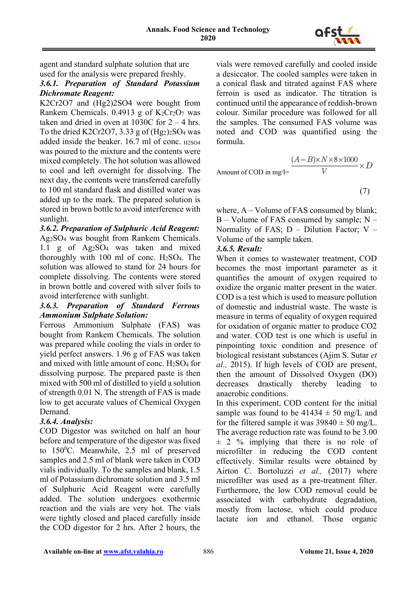

agent and standard sulphate solution that are used for the analysis were prepared freshly.

### *3.6.1. Preparation of Standard Potassium Dichromate Reagent:*

K2Cr2O7 and (Hg2)2SO4 were bought from Rankem Chemicals.  $0.4913$  g of K<sub>2</sub>Cr<sub>2</sub>O<sub>7</sub> was taken and dried in oven at  $1030C$  for  $2 - 4$  hrs. To the dried K2Cr2O7, 3.33 g of  $(Hg_2)_2SO_4$  was added inside the beaker.  $16.7$  ml of conc.  $H2SO4$ was poured to the mixture and the contents were mixed completely. The hot solution was allowed to cool and left overnight for dissolving. The next day, the contents were transferred carefully to 100 ml standard flask and distilled water was added up to the mark. The prepared solution is stored in brown bottle to avoid interference with sunlight.

#### *3.6.2. Preparation of Sulphuric Acid Reagent:*

Ag2SO4 was bought from Rankem Chemicals. 1.1 g of Ag2SO4 was taken and mixed thoroughly with 100 ml of conc.  $H_2SO_4$ . The solution was allowed to stand for 24 hours for complete dissolving. The contents were stored in brown bottle and covered with silver foils to avoid interference with sunlight.

### *3.6.3. Preparation of Standard Ferrous Ammonium Sulphate Solution:*

Ferrous Ammonium Sulphate (FAS) was bought from Rankem Chemicals. The solution was prepared while cooling the vials in order to yield perfect answers. 1.96 g of FAS was taken and mixed with little amount of conc. H2SO4 for dissolving purpose. The prepared paste is then mixed with 500 ml of distilled to yield a solution of strength 0.01 N. The strength of FAS is made low to get accurate values of Chemical Oxygen Demand.

## *3.6.4. Analysis:*

COD Digestor was switched on half an hour before and temperature of the digestor was fixed to  $150^{\circ}$ C. Meanwhile, 2.5 ml of preserved samples and 2.5 ml of blank were taken in COD vials individually. To the samples and blank, 1.5 ml of Potassium dichromate solution and 3.5 ml of Sulphuric Acid Reagent were carefully added. The solution undergoes exothermic reaction and the vials are very hot. The vials were tightly closed and placed carefully inside the COD digestor for 2 hrs. After 2 hours, the

vials were removed carefully and cooled inside a desiccator. The cooled samples were taken in a conical flask and titrated against FAS where ferroin is used as indicator. The titration is continued until the appearance of reddish-brown colour. Similar procedure was followed for all the samples. The consumed FAS volume was noted and COD was quantified using the formula.

Amount of COD in mg/l=
$$
\frac{(A-B) \times N \times 8 \times 1000}{V} \times D
$$

(7)

where, A – Volume of FAS consumed by blank; B – Volume of FAS consumed by sample; N – Normality of FAS;  $D - Dilution Factor$ ; V – Volume of the sample taken.

#### *3.6.5. Result:*

When it comes to wastewater treatment, COD becomes the most important parameter as it quantifies the amount of oxygen required to oxidize the organic matter present in the water. COD is a test which is used to measure pollution of domestic and industrial waste. The waste is measure in terms of equality of oxygen required for oxidation of organic matter to produce CO2 and water. COD test is one which is useful in pinpointing toxic condition and presence of biological resistant substances (Ajim S. Sutar *et al.,* 2015). If high levels of COD are present, then the amount of Dissolved Oxygen (DO) decreases drastically thereby leading to anaerobic conditions.

In this experiment, COD content for the initial sample was found to be  $41434 \pm 50$  mg/L and for the filtered sample it was  $39840 \pm 50$  mg/L. The average reduction rate was found to be 3.00  $\pm$  2 % implying that there is no role of microfilter in reducing the COD content effectively. Similar results were obtained by Airton C. Bortoluzzi *et al.,* (2017) where microfilter was used as a pre-treatment filter. Furthermore, the low COD removal could be associated with carbohydrate degradation, mostly from lactose, which could produce lactate ion and ethanol. Those organic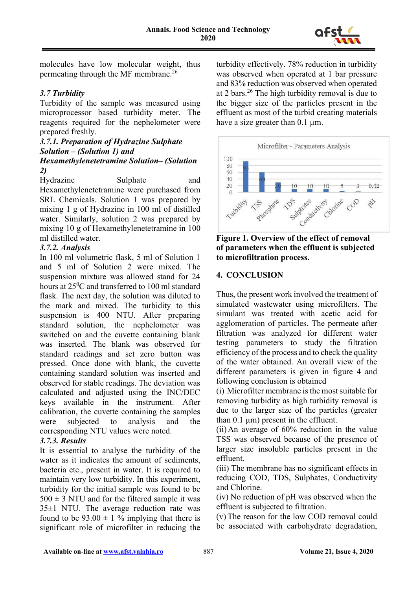

molecules have low molecular weight, thus permeating through the MF membrane.26

### *3.7 Turbidity*

Turbidity of the sample was measured using microprocessor based turbidity meter. The reagents required for the nephelometer were prepared freshly.

# *3.7.1. Preparation of Hydrazine Sulphate Solution – (Solution 1) and Hexamethylenetetramine Solution– (Solution*

*2)*

Hydrazine Sulphate and Hexamethylenetetramine were purchased from SRL Chemicals. Solution 1 was prepared by mixing 1 g of Hydrazine in 100 ml of distilled water. Similarly, solution 2 was prepared by mixing 10 g of Hexamethylenetetramine in 100 ml distilled water.

### *3.7.2. Analysis*

In 100 ml volumetric flask, 5 ml of Solution 1 and 5 ml of Solution 2 were mixed. The suspension mixture was allowed stand for 24 hours at  $25^0C$  and transferred to  $100$  ml standard flask. The next day, the solution was diluted to the mark and mixed. The turbidity to this suspension is 400 NTU. After preparing standard solution, the nephelometer was switched on and the cuvette containing blank was inserted. The blank was observed for standard readings and set zero button was pressed. Once done with blank, the cuvette containing standard solution was inserted and observed for stable readings. The deviation was calculated and adjusted using the INC/DEC keys available in the instrument. After calibration, the cuvette containing the samples were subjected to analysis and the corresponding NTU values were noted.

#### *3.7.3. Results*

It is essential to analyse the turbidity of the water as it indicates the amount of sediments, bacteria etc., present in water. It is required to maintain very low turbidity. In this experiment, turbidity for the initial sample was found to be  $500 \pm 3$  NTU and for the filtered sample it was 35±1 NTU. The average reduction rate was found to be  $93.00 \pm 1\%$  implying that there is significant role of microfilter in reducing the turbidity effectively. 78% reduction in turbidity was observed when operated at 1 bar pressure and 83% reduction was observed when operated at 2 bars.<sup>26</sup> The high turbidity removal is due to the bigger size of the particles present in the effluent as most of the turbid creating materials have a size greater than 0.1 um.





### **4. CONCLUSION**

Thus, the present work involved the treatment of simulated wastewater using microfilters. The simulant was treated with acetic acid for agglomeration of particles. The permeate after filtration was analyzed for different water testing parameters to study the filtration efficiency of the process and to check the quality of the water obtained. An overall view of the different parameters is given in figure 4 and following conclusion is obtained

(i) Microfilter membrane is the most suitable for removing turbidity as high turbidity removal is due to the larger size of the particles (greater than  $0.1 \mu m$ ) present in the effluent.

(ii) An average of 60% reduction in the value TSS was observed because of the presence of larger size insoluble particles present in the effluent.

(iii) The membrane has no significant effects in reducing COD, TDS, Sulphates, Conductivity and Chlorine.

(iv) No reduction of pH was observed when the effluent is subjected to filtration.

(v) The reason for the low COD removal could be associated with carbohydrate degradation,